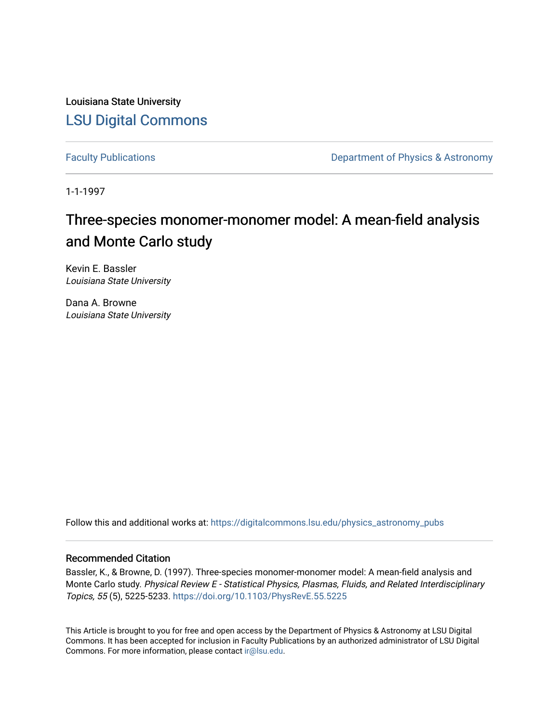Louisiana State University [LSU Digital Commons](https://digitalcommons.lsu.edu/)

[Faculty Publications](https://digitalcommons.lsu.edu/physics_astronomy_pubs) **Exercise 2 and Table 2 and Table 2 and Table 2 and Table 2 and Table 2 and Table 2 and Table 2 and Table 2 and Table 2 and Table 2 and Table 2 and Table 2 and Table 2 and Table 2 and Table 2 and Table** 

1-1-1997

# Three-species monomer-monomer model: A mean-field analysis and Monte Carlo study

Kevin E. Bassler Louisiana State University

Dana A. Browne Louisiana State University

Follow this and additional works at: [https://digitalcommons.lsu.edu/physics\\_astronomy\\_pubs](https://digitalcommons.lsu.edu/physics_astronomy_pubs?utm_source=digitalcommons.lsu.edu%2Fphysics_astronomy_pubs%2F520&utm_medium=PDF&utm_campaign=PDFCoverPages) 

## Recommended Citation

Bassler, K., & Browne, D. (1997). Three-species monomer-monomer model: A mean-field analysis and Monte Carlo study. Physical Review E - Statistical Physics, Plasmas, Fluids, and Related Interdisciplinary Topics, 55 (5), 5225-5233.<https://doi.org/10.1103/PhysRevE.55.5225>

This Article is brought to you for free and open access by the Department of Physics & Astronomy at LSU Digital Commons. It has been accepted for inclusion in Faculty Publications by an authorized administrator of LSU Digital Commons. For more information, please contact [ir@lsu.edu](mailto:ir@lsu.edu).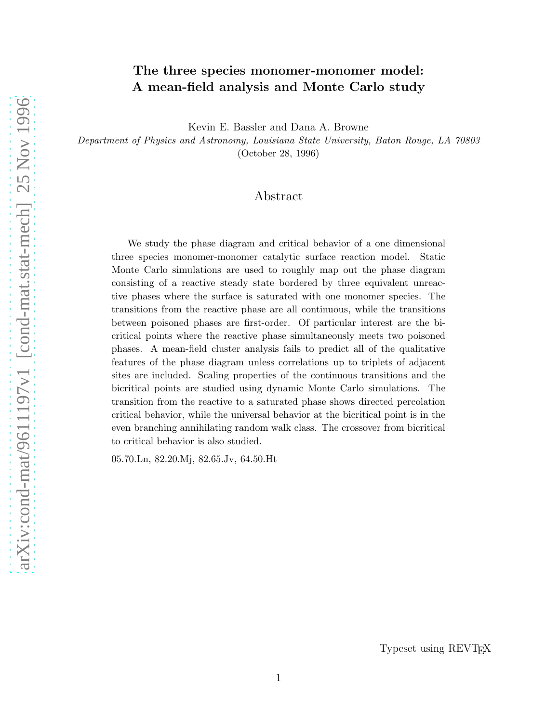## The three species monomer-monomer model: A mean-field analysis and Monte Carlo study

Kevin E. Bassler and Dana A. Browne

Department of Physics and Astronomy, Louisiana State University, Baton Rouge, LA 70803 (October 28, 1996)

## Abstract

We study the phase diagram and critical behavior of a one dimensional three species monomer-monomer catalytic surface reaction model. Static Monte Carlo simulations are used to roughly map out the phase diagram consisting of a reactive steady state bordered by three equivalent unreactive phases where the surface is saturated with one monomer species. The transitions from the reactive phase are all continuous, while the transitions between poisoned phases are first-order. Of particular interest are the bicritical points where the reactive phase simultaneously meets two poisoned phases. A mean-field cluster analysis fails to predict all of the qualitative features of the phase diagram unless correlations up to triplets of adjacent sites are included. Scaling properties of the continuous transitions and the bicritical points are studied using dynamic Monte Carlo simulations. The transition from the reactive to a saturated phase shows directed percolation critical behavior, while the universal behavior at the bicritical point is in the even branching annihilating random walk class. The crossover from bicritical to critical behavior is also studied.

05.70.Ln, 82.20.Mj, 82.65.Jv, 64.50.Ht

Typeset using REVT<sub>F</sub>X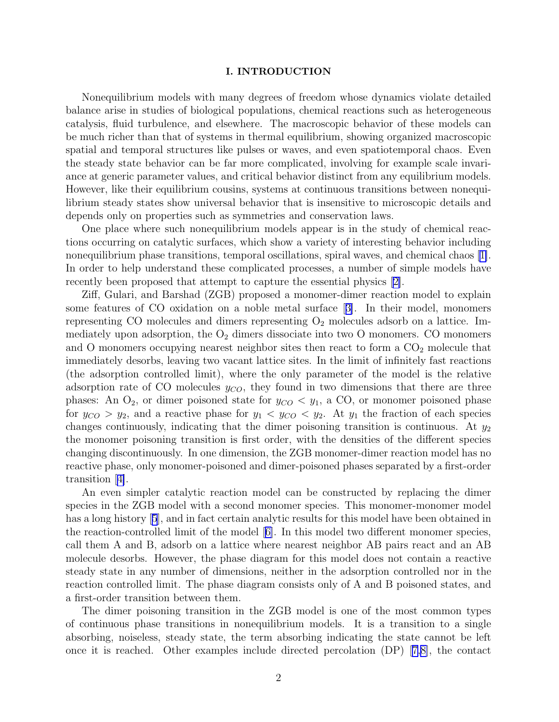#### I. INTRODUCTION

Nonequilibrium models with many degrees of freedom whose dynamics violate detailed balance arise in studies of biological populations, chemical reactions such as heterogeneous catalysis, fluid turbulence, and elsewhere. The macroscopic behavior of these models can be much richer than that of systems in thermal equilibrium, showing organized macroscopic spatial and temporal structures like pulses or waves, and even spatiotemporal chaos. Even the steady state behavior can be far more complicated, involving for example scale invariance at generic parameter values, and critical behavior distinct from any equilibrium models. However, like their equilibrium cousins, systems at continuous transitions between nonequilibrium steady states show universal behavior that is insensitive to microscopic details and depends only on properties such as symmetries and conservation laws.

One place where such nonequilibrium models appear is in the study of chemical reactions occurring on catalytic surfaces, which show a variety of interesting behavior including nonequilibrium phase transitions, temporal oscillations, spiral waves, and chemical chaos[[1\]](#page-13-0). In order to help understand these complicated processes, a number of simple models have recently been proposed that attempt to capture the essential physics[[2\]](#page-13-0).

Ziff, Gulari, and Barshad (ZGB) proposed a monomer-dimer reaction model to explain some features of CO oxidation on a noble metal surface[[3\]](#page-13-0). In their model, monomers representing CO molecules and dimers representing  $O_2$  molecules adsorb on a lattice. Immediately upon adsorption, the  $O_2$  dimers dissociate into two O monomers. CO monomers and O monomers occupying nearest neighbor sites then react to form a  $CO<sub>2</sub>$  molecule that immediately desorbs, leaving two vacant lattice sites. In the limit of infinitely fast reactions (the adsorption controlled limit), where the only parameter of the model is the relative adsorption rate of CO molecules  $y_{CO}$ , they found in two dimensions that there are three phases: An  $O_2$ , or dimer poisoned state for  $y_{CO} < y_1$ , a CO, or monomer poisoned phase for  $y_{CO} > y_2$ , and a reactive phase for  $y_1 < y_{CO} < y_2$ . At  $y_1$  the fraction of each species changes continuously, indicating that the dimer poisoning transition is continuous. At  $y_2$ the monomer poisoning transition is first order, with the densities of the different species changing discontinuously. In one dimension, the ZGB monomer-dimer reaction model has no reactive phase, only monomer-poisoned and dimer-poisoned phases separated by a first-order transition[[4\]](#page-13-0).

An even simpler catalytic reaction model can be constructed by replacing the dimer species in the ZGB model with a second monomer species. This monomer-monomer model has a long history[[5](#page-13-0)], and in fact certain analytic results for this model have been obtained in the reaction-controlled limit of the model[[6\]](#page-13-0). In this model two different monomer species, call them A and B, adsorb on a lattice where nearest neighbor AB pairs react and an AB molecule desorbs. However, the phase diagram for this model does not contain a reactive steady state in any number of dimensions, neither in the adsorption controlled nor in the reaction controlled limit. The phase diagram consists only of A and B poisoned states, and a first-order transition between them.

The dimer poisoning transition in the ZGB model is one of the most common types of continuous phase transitions in nonequilibrium models. It is a transition to a single absorbing, noiseless, steady state, the term absorbing indicating the state cannot be left once it is reached. Other examples include directed percolation (DP) [[7,8\]](#page-13-0), the contact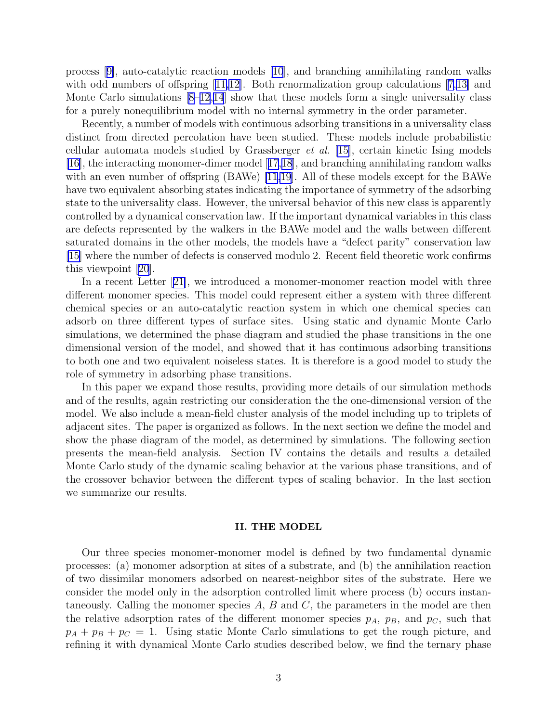process[[9\]](#page-13-0), auto-catalytic reaction models[[10](#page-13-0)], and branching annihilating random walks withodd numbers of offspring [[11,12\]](#page-13-0). Both renormalization group calculations [[7,13\]](#page-13-0) and Monte Carlo simulations[[8–12](#page-13-0),[14](#page-13-0)] show that these models form a single universality class for a purely nonequilibrium model with no internal symmetry in the order parameter.

Recently, a number of models with continuous adsorbing transitions in a universality class distinct from directed percolation have been studied. These models include probabilistic cellular automata models studied by Grassberger et al. [\[15\]](#page-13-0), certain kinetic Ising models [\[16](#page-13-0)], the interacting monomer-dimer model[[17](#page-13-0),[18](#page-13-0)], and branching annihilating random walks with an even number of offspring (BAWe) [\[11,19](#page-13-0)]. All of these models except for the BAWe have two equivalent absorbing states indicating the importance of symmetry of the adsorbing state to the universality class. However, the universal behavior of this new class is apparently controlled by a dynamical conservation law. If the important dynamical variables in this class are defects represented by the walkers in the BAWe model and the walls between different saturated domains in the other models, the models have a "defect parity" conservation law [\[15](#page-13-0)] where the number of defects is conserved modulo 2. Recent field theoretic work confirms this viewpoint[[20](#page-13-0)].

In a recent Letter[[21\]](#page-13-0), we introduced a monomer-monomer reaction model with three different monomer species. This model could represent either a system with three different chemical species or an auto-catalytic reaction system in which one chemical species can adsorb on three different types of surface sites. Using static and dynamic Monte Carlo simulations, we determined the phase diagram and studied the phase transitions in the one dimensional version of the model, and showed that it has continuous adsorbing transitions to both one and two equivalent noiseless states. It is therefore is a good model to study the role of symmetry in adsorbing phase transitions.

In this paper we expand those results, providing more details of our simulation methods and of the results, again restricting our consideration the the one-dimensional version of the model. We also include a mean-field cluster analysis of the model including up to triplets of adjacent sites. The paper is organized as follows. In the next section we define the model and show the phase diagram of the model, as determined by simulations. The following section presents the mean-field analysis. Section IV contains the details and results a detailed Monte Carlo study of the dynamic scaling behavior at the various phase transitions, and of the crossover behavior between the different types of scaling behavior. In the last section we summarize our results.

#### II. THE MODEL

Our three species monomer-monomer model is defined by two fundamental dynamic processes: (a) monomer adsorption at sites of a substrate, and (b) the annihilation reaction of two dissimilar monomers adsorbed on nearest-neighbor sites of the substrate. Here we consider the model only in the adsorption controlled limit where process (b) occurs instantaneously. Calling the monomer species  $A, B$  and  $C$ , the parameters in the model are then the relative adsorption rates of the different monomer species  $p_A$ ,  $p_B$ , and  $p_C$ , such that  $p_A + p_B + p_C = 1$ . Using static Monte Carlo simulations to get the rough picture, and refining it with dynamical Monte Carlo studies described below, we find the ternary phase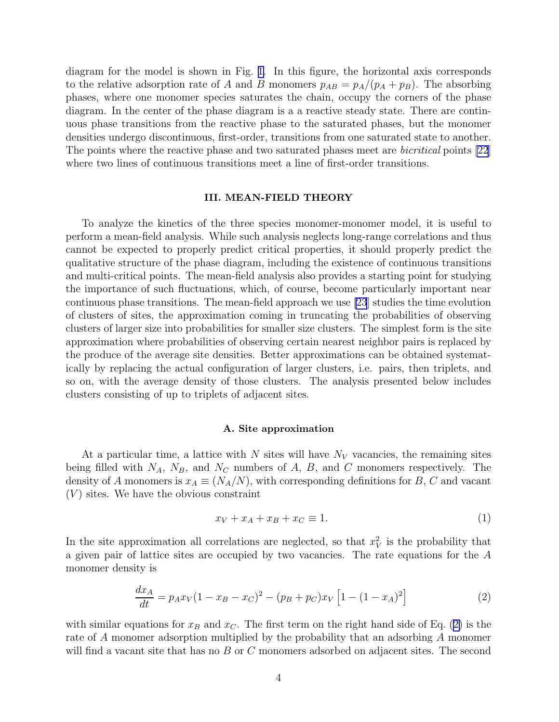<span id="page-4-0"></span>diagram for the model is shown in Fig. [1.](#page-17-0) In this figure, the horizontal axis corresponds to the relative adsorption rate of A and B monomers  $p_{AB} = p_A/(p_A + p_B)$ . The absorbing phases, where one monomer species saturates the chain, occupy the corners of the phase diagram. In the center of the phase diagram is a a reactive steady state. There are continuous phase transitions from the reactive phase to the saturated phases, but the monomer densities undergo discontinuous, first-order, transitions from one saturated state to another. The points where the reactive phase and two saturated phases meet are bicritical points [\[22](#page-13-0)] where two lines of continuous transitions meet a line of first-order transitions.

#### III. MEAN-FIELD THEORY

To analyze the kinetics of the three species monomer-monomer model, it is useful to perform a mean-field analysis. While such analysis neglects long-range correlations and thus cannot be expected to properly predict critical properties, it should properly predict the qualitative structure of the phase diagram, including the existence of continuous transitions and multi-critical points. The mean-field analysis also provides a starting point for studying the importance of such fluctuations, which, of course, become particularly important near continuous phase transitions. The mean-field approach we use [\[23](#page-13-0)] studies the time evolution of clusters of sites, the approximation coming in truncating the probabilities of observing clusters of larger size into probabilities for smaller size clusters. The simplest form is the site approximation where probabilities of observing certain nearest neighbor pairs is replaced by the produce of the average site densities. Better approximations can be obtained systematically by replacing the actual configuration of larger clusters, i.e. pairs, then triplets, and so on, with the average density of those clusters. The analysis presented below includes clusters consisting of up to triplets of adjacent sites.

#### A. Site approximation

At a particular time, a lattice with N sites will have  $N_V$  vacancies, the remaining sites being filled with  $N_A$ ,  $N_B$ , and  $N_C$  numbers of A, B, and C monomers respectively. The density of A monomers is  $x_A \equiv (N_A/N)$ , with corresponding definitions for B, C and vacant  $(V)$  sites. We have the obvious constraint

$$
x_V + x_A + x_B + x_C \equiv 1. \tag{1}
$$

In the site approximation all correlations are neglected, so that  $x_V^2$  is the probability that a given pair of lattice sites are occupied by two vacancies. The rate equations for the A monomer density is

$$
\frac{dx_A}{dt} = p_A x_V (1 - x_B - x_C)^2 - (p_B + p_C) x_V \left[ 1 - (1 - x_A)^2 \right] \tag{2}
$$

with similar equations for  $x_B$  and  $x_C$ . The first term on the right hand side of Eq. (2) is the rate of A monomer adsorption multiplied by the probability that an adsorbing A monomer will find a vacant site that has no B or C monomers adsorbed on adjacent sites. The second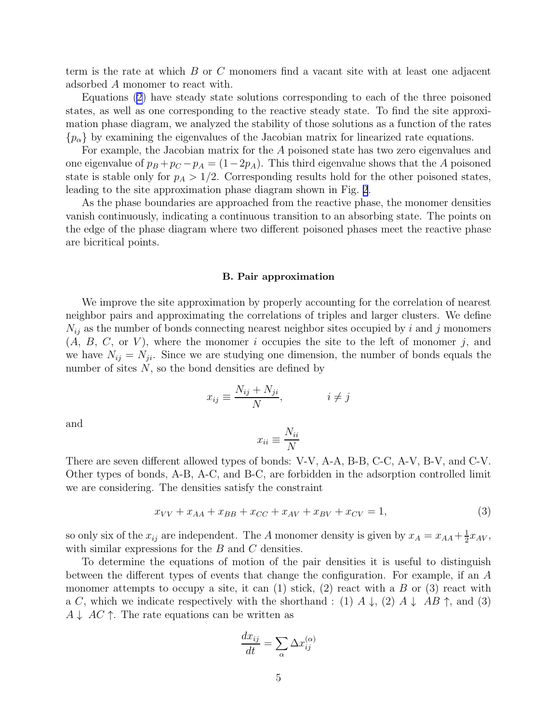<span id="page-5-0"></span>term is the rate at which  $B$  or  $C$  monomers find a vacant site with at least one adjacent adsorbed A monomer to react with.

Equations [\(2\)](#page-4-0) have steady state solutions corresponding to each of the three poisoned states, as well as one corresponding to the reactive steady state. To find the site approximation phase diagram, we analyzed the stability of those solutions as a function of the rates  $\{p_{\alpha}\}\$  by examining the eigenvalues of the Jacobian matrix for linearized rate equations.

For example, the Jacobian matrix for the A poisoned state has two zero eigenvalues and one eigenvalue of  $p_B + p_C - p_A = (1 - 2p_A)$ . This third eigenvalue shows that the A poisoned state is stable only for  $p_A > 1/2$ . Corresponding results hold for the other poisoned states, leading to the site approximation phase diagram shown in Fig. [2](#page-18-0).

As the phase boundaries are approached from the reactive phase, the monomer densities vanish continuously, indicating a continuous transition to an absorbing state. The points on the edge of the phase diagram where two different poisoned phases meet the reactive phase are bicritical points.

#### B. Pair approximation

We improve the site approximation by properly accounting for the correlation of nearest neighbor pairs and approximating the correlations of triples and larger clusters. We define  $N_{ij}$  as the number of bonds connecting nearest neighbor sites occupied by i and j monomers  $(A, B, C, \text{or } V)$ , where the monomer i occupies the site to the left of monomer j, and we have  $N_{ij} = N_{ji}$ . Since we are studying one dimension, the number of bonds equals the number of sites  $N$ , so the bond densities are defined by

$$
x_{ij} \equiv \frac{N_{ij} + N_{ji}}{N}, \qquad i \neq j
$$

and

$$
x_{ii}\equiv \frac{N_{ii}}{N}
$$

There are seven different allowed types of bonds: V-V, A-A, B-B, C-C, A-V, B-V, and C-V. Other types of bonds, A-B, A-C, and B-C, are forbidden in the adsorption controlled limit we are considering. The densities satisfy the constraint

$$
x_{VV} + x_{AA} + x_{BB} + x_{CC} + x_{AV} + x_{BV} + x_{CV} = 1,
$$
\n(3)

so only six of the  $x_{ij}$  are independent. The A monomer density is given by  $x_A = x_{AA} + \frac{1}{2}$  $\frac{1}{2}x_{AV}$ with similar expressions for the  $B$  and  $C$  densities.

To determine the equations of motion of the pair densities it is useful to distinguish between the different types of events that change the configuration. For example, if an A monomer attempts to occupy a site, it can  $(1)$  stick,  $(2)$  react with a B or  $(3)$  react with a C, which we indicate respectively with the shorthand : (1)  $A \downarrow$ , (2)  $A \downarrow$   $AB \uparrow$ , and (3)  $A \downarrow AC \uparrow$ . The rate equations can be written as

$$
\frac{dx_{ij}}{dt} = \sum_{\alpha} \Delta x_{ij}^{(\alpha)}
$$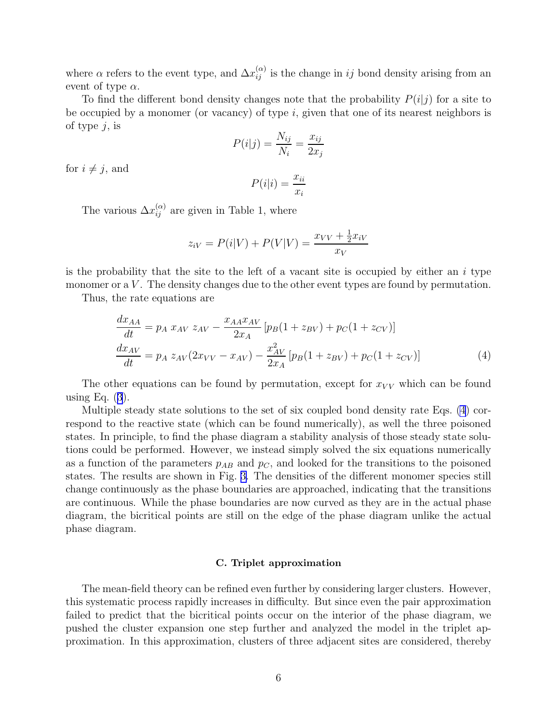where  $\alpha$  refers to the event type, and  $\Delta x_{ij}^{(\alpha)}$  is the change in ij bond density arising from an event of type  $\alpha$ .

To find the different bond density changes note that the probability  $P(i|j)$  for a site to be occupied by a monomer (or vacancy) of type  $i$ , given that one of its nearest neighbors is of type  $j$ , is

$$
P(i|j) = \frac{N_{ij}}{N_i} = \frac{x_{ij}}{2x_j}
$$

for  $i \neq j$ , and

$$
P(i|i) = \frac{x_{ii}}{x_i}
$$

The various  $\Delta x_{ij}^{(\alpha)}$  are given in Table 1, where

$$
z_{iV} = P(i|V) + P(V|V) = \frac{x_{VV} + \frac{1}{2}x_{iV}}{x_V}
$$

is the probability that the site to the left of a vacant site is occupied by either an i type monomer or a  $V$ . The density changes due to the other event types are found by permutation.

Thus, the rate equations are

$$
\frac{dx_{AA}}{dt} = p_A x_{AV} z_{AV} - \frac{x_{AA} x_{AV}}{2x_A} [p_B(1 + z_{BV}) + p_C(1 + z_{CV})]
$$
  
\n
$$
\frac{dx_{AV}}{dt} = p_A z_{AV} (2x_{VV} - x_{AV}) - \frac{x_{AV}^2}{2x_A} [p_B(1 + z_{BV}) + p_C(1 + z_{CV})]
$$
\n(4)

The other equations can be found by permutation, except for  $x_{VV}$  which can be found usingEq.  $(3)$  $(3)$  $(3)$ .

Multiple steady state solutions to the set of six coupled bond density rate Eqs. (4) correspond to the reactive state (which can be found numerically), as well the three poisoned states. In principle, to find the phase diagram a stability analysis of those steady state solutions could be performed. However, we instead simply solved the six equations numerically as a function of the parameters  $p_{AB}$  and  $p_C$ , and looked for the transitions to the poisoned states. The results are shown in Fig. [3.](#page-19-0) The densities of the different monomer species still change continuously as the phase boundaries are approached, indicating that the transitions are continuous. While the phase boundaries are now curved as they are in the actual phase diagram, the bicritical points are still on the edge of the phase diagram unlike the actual phase diagram.

### C. Triplet approximation

The mean-field theory can be refined even further by considering larger clusters. However, this systematic process rapidly increases in difficulty. But since even the pair approximation failed to predict that the bicritical points occur on the interior of the phase diagram, we pushed the cluster expansion one step further and analyzed the model in the triplet approximation. In this approximation, clusters of three adjacent sites are considered, thereby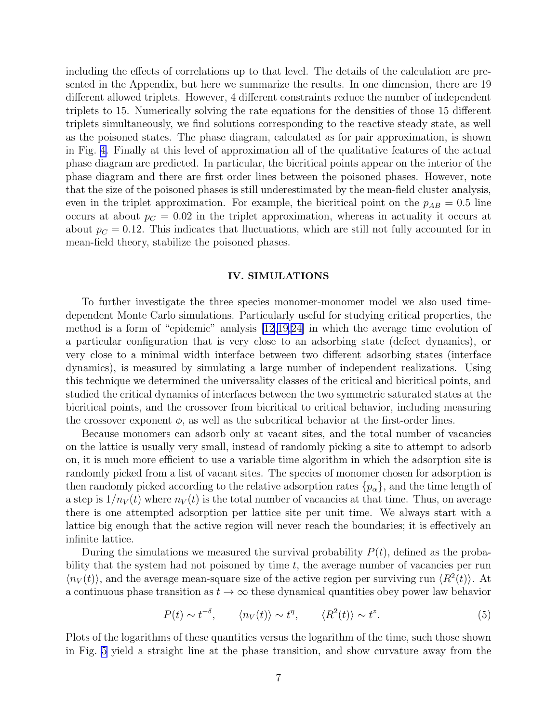including the effects of correlations up to that level. The details of the calculation are presented in the Appendix, but here we summarize the results. In one dimension, there are 19 different allowed triplets. However, 4 different constraints reduce the number of independent triplets to 15. Numerically solving the rate equations for the densities of those 15 different triplets simultaneously, we find solutions corresponding to the reactive steady state, as well as the poisoned states. The phase diagram, calculated as for pair approximation, is shown in Fig. [4.](#page-20-0) Finally at this level of approximation all of the qualitative features of the actual phase diagram are predicted. In particular, the bicritical points appear on the interior of the phase diagram and there are first order lines between the poisoned phases. However, note that the size of the poisoned phases is still underestimated by the mean-field cluster analysis, even in the triplet approximation. For example, the bicritical point on the  $p_{AB} = 0.5$  line occurs at about  $p_C = 0.02$  in the triplet approximation, whereas in actuality it occurs at about  $p<sub>C</sub> = 0.12$ . This indicates that fluctuations, which are still not fully accounted for in mean-field theory, stabilize the poisoned phases.

#### IV. SIMULATIONS

To further investigate the three species monomer-monomer model we also used timedependent Monte Carlo simulations. Particularly useful for studying critical properties, the method is a form of "epidemic" analysis [\[12,19,24\]](#page-13-0) in which the average time evolution of a particular configuration that is very close to an adsorbing state (defect dynamics), or very close to a minimal width interface between two different adsorbing states (interface dynamics), is measured by simulating a large number of independent realizations. Using this technique we determined the universality classes of the critical and bicritical points, and studied the critical dynamics of interfaces between the two symmetric saturated states at the bicritical points, and the crossover from bicritical to critical behavior, including measuring the crossover exponent  $\phi$ , as well as the subcritical behavior at the first-order lines.

Because monomers can adsorb only at vacant sites, and the total number of vacancies on the lattice is usually very small, instead of randomly picking a site to attempt to adsorb on, it is much more efficient to use a variable time algorithm in which the adsorption site is randomly picked from a list of vacant sites. The species of monomer chosen for adsorption is then randomly picked according to the relative adsorption rates  $\{p_{\alpha}\}\text{, and the time length of }$ a step is  $1/n_V(t)$  where  $n_V(t)$  is the total number of vacancies at that time. Thus, on average there is one attempted adsorption per lattice site per unit time. We always start with a lattice big enough that the active region will never reach the boundaries; it is effectively an infinite lattice.

During the simulations we measured the survival probability  $P(t)$ , defined as the probability that the system had not poisoned by time  $t$ , the average number of vacancies per run  $\langle n_V(t) \rangle$ , and the average mean-square size of the active region per surviving run  $\langle R^2(t) \rangle$ . At a continuous phase transition as  $t \to \infty$  these dynamical quantities obey power law behavior

$$
P(t) \sim t^{-\delta}, \qquad \langle n_V(t) \rangle \sim t^{\eta}, \qquad \langle R^2(t) \rangle \sim t^z. \tag{5}
$$

Plots of the logarithms of these quantities versus the logarithm of the time, such those shown in Fig. [5](#page-21-0) yield a straight line at the phase transition, and show curvature away from the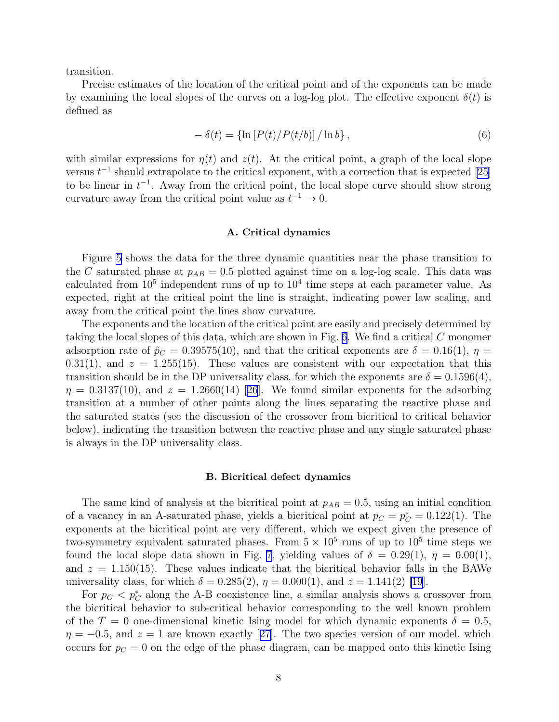<span id="page-8-0"></span>transition.

Precise estimates of the location of the critical point and of the exponents can be made by examining the local slopes of the curves on a log-log plot. The effective exponent  $\delta(t)$  is defined as

$$
-\delta(t) = \left\{\ln\left[P(t)/P(t/b)\right]/\ln b\right\},\tag{6}
$$

with similar expressions for  $\eta(t)$  and  $z(t)$ . At the critical point, a graph of the local slope versus  $t^{-1}$  should extrapolate to the critical exponent, with a correction that is expected [\[25](#page-13-0)] to be linear in  $t^{-1}$ . Away from the critical point, the local slope curve should show strong curvature away from the critical point value as  $t^{-1} \to 0$ .

#### A. Critical dynamics

Figure [5](#page-21-0) shows the data for the three dynamic quantities near the phase transition to the C saturated phase at  $p_{AB} = 0.5$  plotted against time on a log-log scale. This data was calculated from  $10^5$  independent runs of up to  $10^4$  time steps at each parameter value. As expected, right at the critical point the line is straight, indicating power law scaling, and away from the critical point the lines show curvature.

The exponents and the location of the critical point are easily and precisely determined by taking the local slopes of this data, which are shown in Fig. [6](#page-22-0). We find a critical C monomer adsorption rate of  $\tilde{p}_C = 0.39575(10)$ , and that the critical exponents are  $\delta = 0.16(1)$ ,  $\eta =$  $0.31(1)$ , and  $z = 1.255(15)$ . These values are consistent with our expectation that this transition should be in the DP universality class, for which the exponents are  $\delta = 0.1596(4)$ ,  $\eta = 0.3137(10)$  $\eta = 0.3137(10)$  $\eta = 0.3137(10)$ , and  $z = 1.2660(14)$  $z = 1.2660(14)$  $z = 1.2660(14)$  [26]. We found similar exponents for the adsorbing transition at a number of other points along the lines separating the reactive phase and the saturated states (see the discussion of the crossover from bicritical to critical behavior below), indicating the transition between the reactive phase and any single saturated phase is always in the DP universality class.

#### B. Bicritical defect dynamics

The same kind of analysis at the bicritical point at  $p_{AB} = 0.5$ , using an initial condition of a vacancy in an A-saturated phase, yields a bicritical point at  $p_C = p_C^* = 0.122(1)$ . The exponents at the bicritical point are very different, which we expect given the presence of two-symmetry equivalent saturated phases. From  $5 \times 10^5$  runs of up to  $10^5$  time steps we found the local slope data shown in Fig. [7](#page-23-0), yielding values of  $\delta = 0.29(1)$ ,  $\eta = 0.00(1)$ , and  $z = 1.150(15)$ . These values indicate that the bicritical behavior falls in the BAWe universality class, for which  $\delta = 0.285(2), \eta = 0.000(1),$  and  $z = 1.141(2)$  [\[19](#page-13-0)].

For  $p_C < p_C^*$  along the A-B coexistence line, a similar analysis shows a crossover from the bicritical behavior to sub-critical behavior corresponding to the well known problem of the  $T = 0$  one-dimensional kinetic Ising model for which dynamic exponents  $\delta = 0.5$ ,  $\eta = -0.5$  $\eta = -0.5$  $\eta = -0.5$ , and  $z = 1$  are known exactly [[27](#page-14-0)]. The two species version of our model, which occurs for  $p<sub>C</sub> = 0$  on the edge of the phase diagram, can be mapped onto this kinetic Ising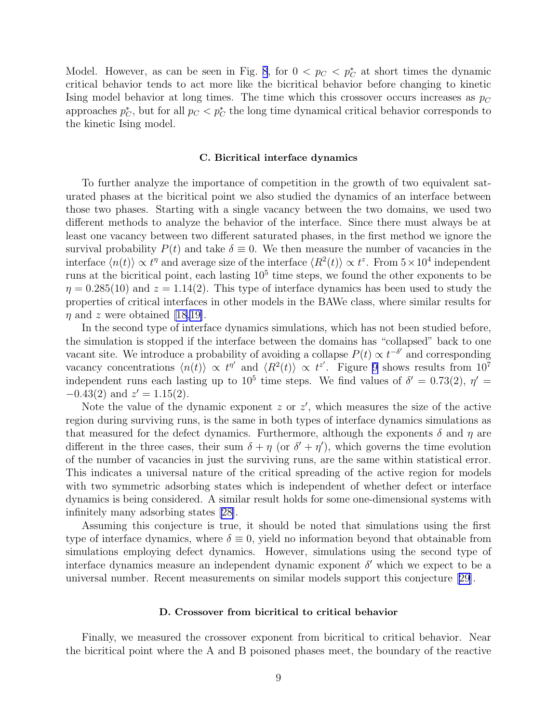Model. However, as can be seen in Fig. [8](#page-24-0), for  $0 < p_C < p_C^*$  at short times the dynamic critical behavior tends to act more like the bicritical behavior before changing to kinetic Ising model behavior at long times. The time which this crossover occurs increases as  $p_C$ approaches  $p_C^*$ , but for all  $p_C < p_C^*$  the long time dynamical critical behavior corresponds to the kinetic Ising model.

#### C. Bicritical interface dynamics

To further analyze the importance of competition in the growth of two equivalent saturated phases at the bicritical point we also studied the dynamics of an interface between those two phases. Starting with a single vacancy between the two domains, we used two different methods to analyze the behavior of the interface. Since there must always be at least one vacancy between two different saturated phases, in the first method we ignore the survival probability  $P(t)$  and take  $\delta \equiv 0$ . We then measure the number of vacancies in the interface  $\langle n(t) \rangle \propto t^{\eta}$  and average size of the interface  $\langle R^2(t) \rangle \propto t^z$ . From  $5 \times 10^4$  independent runs at the bicritical point, each lasting  $10<sup>5</sup>$  time steps, we found the other exponents to be  $\eta = 0.285(10)$  and  $z = 1.14(2)$ . This type of interface dynamics has been used to study the properties of critical interfaces in other models in the BAWe class, where similar results for  $\eta$  and z were obtained [\[18,19\]](#page-13-0).

In the second type of interface dynamics simulations, which has not been studied before, the simulation is stopped if the interface between the domains has "collapsed" back to one vacant site. We introduce a probability of avoiding a collapse  $P(t) \propto t^{-\delta'}$  and corresponding vacancy concentrations  $\langle n(t) \rangle \propto t^{\eta'}$  and  $\langle R^2(t) \rangle \propto t^{z'}$ . Figure [9](#page-25-0) shows results from  $10^7$ independent runs each lasting up to  $10^5$  time steps. We find values of  $\delta' = 0.73(2)$ ,  $\eta' =$  $-0.43(2)$  and  $z' = 1.15(2)$ .

Note the value of the dynamic exponent  $z$  or  $z'$ , which measures the size of the active region during surviving runs, is the same in both types of interface dynamics simulations as that measured for the defect dynamics. Furthermore, although the exponents  $\delta$  and  $\eta$  are different in the three cases, their sum  $\delta + \eta$  (or  $\delta' + \eta'$ ), which governs the time evolution of the number of vacancies in just the surviving runs, are the same within statistical error. This indicates a universal nature of the critical spreading of the active region for models with two symmetric adsorbing states which is independent of whether defect or interface dynamics is being considered. A similar result holds for some one-dimensional systems with infinitely many adsorbing states[[28\]](#page-14-0).

Assuming this conjecture is true, it should be noted that simulations using the first type of interface dynamics, where  $\delta \equiv 0$ , yield no information beyond that obtainable from simulations employing defect dynamics. However, simulations using the second type of interface dynamics measure an independent dynamic exponent  $\delta'$  which we expect to be a universal number. Recent measurements on similar models support this conjecture [\[29\]](#page-14-0).

#### D. Crossover from bicritical to critical behavior

Finally, we measured the crossover exponent from bicritical to critical behavior. Near the bicritical point where the A and B poisoned phases meet, the boundary of the reactive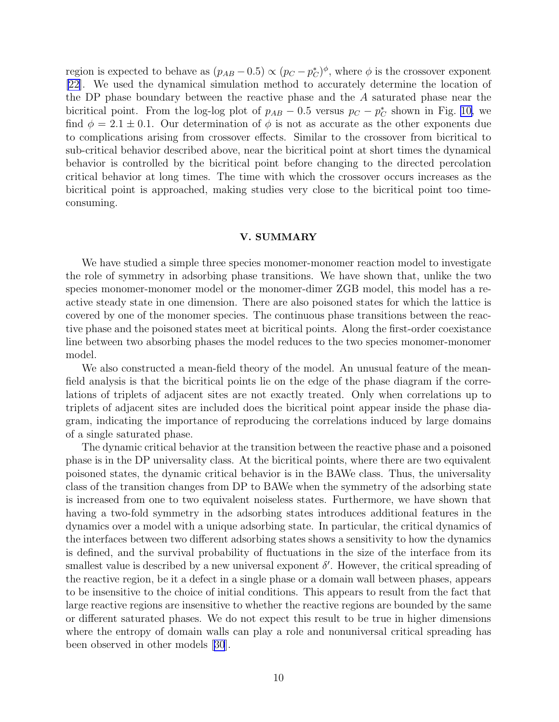region is expected to behave as  $(p_{AB} - 0.5) \propto (p_C - p_C^*)^{\phi}$ , where  $\phi$  is the crossover exponent [\[22\]](#page-13-0). We used the dynamical simulation method to accurately determine the location of the DP phase boundary between the reactive phase and the A saturated phase near the bicritical point. From the log-log plot of  $p_{AB} - 0.5$  versus  $p_C - p_C^*$  shown in Fig. [10,](#page-26-0) we find  $\phi = 2.1 \pm 0.1$ . Our determination of  $\phi$  is not as accurate as the other exponents due to complications arising from crossover effects. Similar to the crossover from bicritical to sub-critical behavior described above, near the bicritical point at short times the dynamical behavior is controlled by the bicritical point before changing to the directed percolation critical behavior at long times. The time with which the crossover occurs increases as the bicritical point is approached, making studies very close to the bicritical point too timeconsuming.

#### V. SUMMARY

We have studied a simple three species monomer-monomer reaction model to investigate the role of symmetry in adsorbing phase transitions. We have shown that, unlike the two species monomer-monomer model or the monomer-dimer ZGB model, this model has a reactive steady state in one dimension. There are also poisoned states for which the lattice is covered by one of the monomer species. The continuous phase transitions between the reactive phase and the poisoned states meet at bicritical points. Along the first-order coexistance line between two absorbing phases the model reduces to the two species monomer-monomer model.

We also constructed a mean-field theory of the model. An unusual feature of the meanfield analysis is that the bicritical points lie on the edge of the phase diagram if the correlations of triplets of adjacent sites are not exactly treated. Only when correlations up to triplets of adjacent sites are included does the bicritical point appear inside the phase diagram, indicating the importance of reproducing the correlations induced by large domains of a single saturated phase.

The dynamic critical behavior at the transition between the reactive phase and a poisoned phase is in the DP universality class. At the bicritical points, where there are two equivalent poisoned states, the dynamic critical behavior is in the BAWe class. Thus, the universality class of the transition changes from DP to BAWe when the symmetry of the adsorbing state is increased from one to two equivalent noiseless states. Furthermore, we have shown that having a two-fold symmetry in the adsorbing states introduces additional features in the dynamics over a model with a unique adsorbing state. In particular, the critical dynamics of the interfaces between two different adsorbing states shows a sensitivity to how the dynamics is defined, and the survival probability of fluctuations in the size of the interface from its smallest value is described by a new universal exponent  $\delta'$ . However, the critical spreading of the reactive region, be it a defect in a single phase or a domain wall between phases, appears to be insensitive to the choice of initial conditions. This appears to result from the fact that large reactive regions are insensitive to whether the reactive regions are bounded by the same or different saturated phases. We do not expect this result to be true in higher dimensions where the entropy of domain walls can play a role and nonuniversal critical spreading has been observed in other models[[30](#page-14-0)].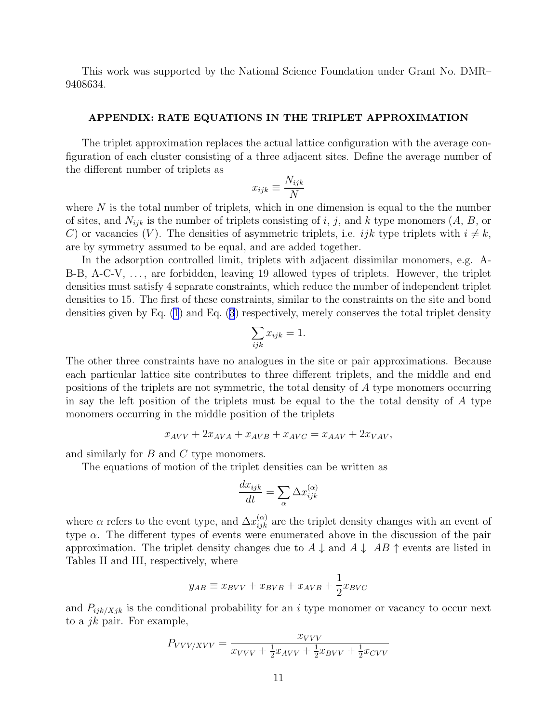This work was supported by the National Science Foundation under Grant No. DMR– 9408634.

#### APPENDIX: RATE EQUATIONS IN THE TRIPLET APPROXIMATION

The triplet approximation replaces the actual lattice configuration with the average configuration of each cluster consisting of a three adjacent sites. Define the average number of the different number of triplets as

$$
x_{ijk} \equiv \frac{N_{ijk}}{N}
$$

where  $N$  is the total number of triplets, which in one dimension is equal to the the number of sites, and  $N_{ijk}$  is the number of triplets consisting of i, j, and k type monomers  $(A, B, \text{or})$ C) or vacancies (V). The densities of asymmetric triplets, i.e. ijk type triplets with  $i \neq k$ , are by symmetry assumed to be equal, and are added together.

In the adsorption controlled limit, triplets with adjacent dissimilar monomers, e.g. A-B-B, A-C-V, . . . , are forbidden, leaving 19 allowed types of triplets. However, the triplet densities must satisfy 4 separate constraints, which reduce the number of independent triplet densities to 15. The first of these constraints, similar to the constraints on the site and bond densities given by Eq. [\(1](#page-4-0)) and Eq.([3](#page-5-0)) respectively, merely conserves the total triplet density

$$
\sum_{ijk} x_{ijk} = 1.
$$

The other three constraints have no analogues in the site or pair approximations. Because each particular lattice site contributes to three different triplets, and the middle and end positions of the triplets are not symmetric, the total density of A type monomers occurring in say the left position of the triplets must be equal to the the total density of A type monomers occurring in the middle position of the triplets

$$
x_{AVV} + 2x_{AVA} + x_{AVB} + x_{AVC} = x_{AAV} + 2x_{VAV},
$$

and similarly for B and C type monomers.

The equations of motion of the triplet densities can be written as

$$
\frac{dx_{ijk}}{dt} = \sum_{\alpha} \Delta x_{ijk}^{(\alpha)}
$$

where  $\alpha$  refers to the event type, and  $\Delta x_{ijk}^{(\alpha)}$  are the triplet density changes with an event of type  $\alpha$ . The different types of events were enumerated above in the discussion of the pair approximation. The triplet density changes due to  $A \downarrow$  and  $A \downarrow AB \uparrow$  events are listed in Tables II and III, respectively, where

$$
y_{AB} \equiv x_{BVV} + x_{BVB} + x_{AVB} + \frac{1}{2} x_{BVC}
$$

and  $P_{ijk/Xjk}$  is the conditional probability for an i type monomer or vacancy to occur next to a  $jk$  pair. For example,

$$
P_{VVV/XVV} = \frac{x_{VVV}}{x_{VVV} + \frac{1}{2}x_{AVV} + \frac{1}{2}x_{BVV} + \frac{1}{2}x_{CVV}}
$$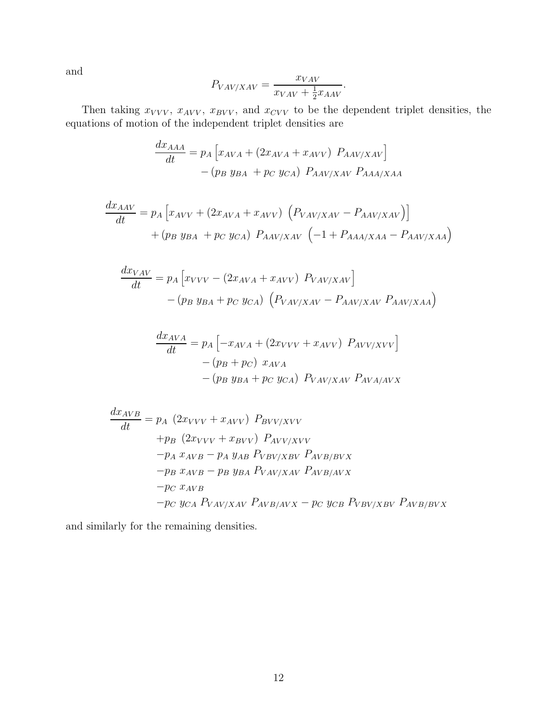and

$$
P_{VAV/XAV} = \frac{x_{VAV}}{x_{VAV} + \frac{1}{2}x_{AAV}}.
$$

Then taking  $x_{VVV}$ ,  $x_{AVV}$ ,  $x_{BVV}$ , and  $x_{CVV}$  to be the dependent triplet densities, the equations of motion of the independent triplet densities are

$$
\frac{dx_{AAA}}{dt} = p_A \left[ x_{AVA} + (2x_{AVA} + x_{AVV}) \ P_{AAV/XAV} \right]
$$

$$
- (p_B y_{BA} + p_C y_{CA}) \ P_{AAV/XAV} P_{AAA/XAA}
$$

$$
\frac{dx_{AAV}}{dt} = p_A \left[ x_{AVV} + (2x_{AVA} + x_{AVV}) \left( P_{VAV/XAV} - P_{AAV/XAV} \right) \right]
$$

$$
+ (p_B y_{BA} + p_C y_{CA}) P_{AAV/XAV} \left( -1 + P_{AAA/XAA} - P_{AAV/XAA} \right)
$$

$$
\frac{dx_{VAV}}{dt} = p_A \left[ x_{VVV} - (2x_{AVA} + x_{AVV}) \ P_{VAV/XAV} \right]
$$

$$
- (p_B y_{BA} + p_C y_{CA}) \left( P_{VAV/XAV} - P_{AAV/XAV} \ P_{AAV/XAA} \right)
$$

$$
\frac{dx_{AVA}}{dt} = p_A \left[ -x_{AVA} + (2x_{VVV} + x_{AVV}) P_{AVV/XVV} \right]
$$

$$
-(p_B + p_C) x_{AVA}
$$

$$
-(p_B y_{BA} + p_C y_{CA}) P_{VAV/XAV} P_{AVA/AVX}
$$

$$
\frac{dx_{AVB}}{dt} = p_A (2x_{VVV} + x_{AVV}) P_{BVV/XVV}
$$
  
+  $p_B (2x_{VVV} + x_{BVV}) P_{AVV/XVV}$   
-  $p_A x_{AVB} - p_A y_{AB} P_{VBV/XBV} P_{AVB/BVX}$   
-  $p_B x_{AVB} - p_B y_{BA} P_{VAV/XAV} P_{AVB/AVX}$   
-  $p_C x_{AVB}$   
-  $p_C y_{CA} P_{VAV/XAV} P_{AVB/AVX} - p_C y_{CB} P_{VBV/XBV} P_{AVB/BVX}$ 

and similarly for the remaining densities.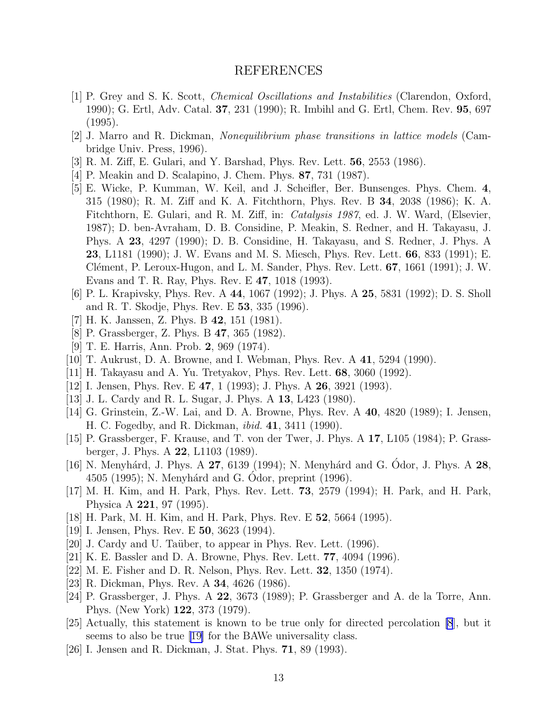## REFERENCES

- <span id="page-13-0"></span>[1] P. Grey and S. K. Scott, Chemical Oscillations and Instabilities (Clarendon, Oxford, 1990); G. Ertl, Adv. Catal. 37, 231 (1990); R. Imbihl and G. Ertl, Chem. Rev. 95, 697 (1995).
- [2] J. Marro and R. Dickman, Nonequilibrium phase transitions in lattice models (Cambridge Univ. Press, 1996).
- [3] R. M. Ziff, E. Gulari, and Y. Barshad, Phys. Rev. Lett. 56, 2553 (1986).
- [4] P. Meakin and D. Scalapino, J. Chem. Phys. 87, 731 (1987).
- [5] E. Wicke, P. Kumman, W. Keil, and J. Scheifler, Ber. Bunsenges. Phys. Chem. 4, 315 (1980); R. M. Ziff and K. A. Fitchthorn, Phys. Rev. B 34, 2038 (1986); K. A. Fitchthorn, E. Gulari, and R. M. Ziff, in: *Catalysis 1987*, ed. J. W. Ward, (Elsevier, 1987); D. ben-Avraham, D. B. Considine, P. Meakin, S. Redner, and H. Takayasu, J. Phys. A 23, 4297 (1990); D. B. Considine, H. Takayasu, and S. Redner, J. Phys. A 23, L1181 (1990); J. W. Evans and M. S. Miesch, Phys. Rev. Lett. 66, 833 (1991); E. Clément, P. Leroux-Hugon, and L. M. Sander, Phys. Rev. Lett.  $67$ , 1661 (1991); J. W. Evans and T. R. Ray, Phys. Rev. E 47, 1018 (1993).
- [6] P. L. Krapivsky, Phys. Rev. A 44, 1067 (1992); J. Phys. A 25, 5831 (1992); D. S. Sholl and R. T. Skodje, Phys. Rev. E 53, 335 (1996).
- [7] H. K. Janssen, Z. Phys. B 42, 151 (1981).
- [8] P. Grassberger, Z. Phys. B 47, 365 (1982).
- [9] T. E. Harris, Ann. Prob. 2, 969 (1974).
- [10] T. Aukrust, D. A. Browne, and I. Webman, Phys. Rev. A 41, 5294 (1990).
- [11] H. Takayasu and A. Yu. Tretyakov, Phys. Rev. Lett. 68, 3060 (1992).
- [12] I. Jensen, Phys. Rev. E 47, 1 (1993); J. Phys. A 26, 3921 (1993).
- [13] J. L. Cardy and R. L. Sugar, J. Phys. A 13, L423 (1980).
- [14] G. Grinstein, Z.-W. Lai, and D. A. Browne, Phys. Rev. A 40, 4820 (1989); I. Jensen, H. C. Fogedby, and R. Dickman, ibid. 41, 3411 (1990).
- [15] P. Grassberger, F. Krause, and T. von der Twer, J. Phys. A 17, L105 (1984); P. Grassberger, J. Phys. A 22, L1103 (1989).
- [16] N. Menyhárd, J. Phys. A  $27$ , 6139 (1994); N. Menyhárd and G. Odor, J. Phys. A  $28$ , 4505 (1995); N. Menyhárd and G. Odor, preprint (1996).
- [17] M. H. Kim, and H. Park, Phys. Rev. Lett. 73, 2579 (1994); H. Park, and H. Park, Physica A 221, 97 (1995).
- [18] H. Park, M. H. Kim, and H. Park, Phys. Rev. E 52, 5664 (1995).
- [19] I. Jensen, Phys. Rev. E 50, 3623 (1994).
- [20] J. Cardy and U. Taüber, to appear in Phys. Rev. Lett. (1996).
- [21] K. E. Bassler and D. A. Browne, Phys. Rev. Lett. 77, 4094 (1996).
- [22] M. E. Fisher and D. R. Nelson, Phys. Rev. Lett. 32, 1350 (1974).
- [23] R. Dickman, Phys. Rev. A 34, 4626 (1986).
- [24] P. Grassberger, J. Phys. A 22, 3673 (1989); P. Grassberger and A. de la Torre, Ann. Phys. (New York) 122, 373 (1979).
- [25] Actually, this statement is known to be true only for directed percolation [8], but it seems to also be true [19] for the BAWe universality class.
- [26] I. Jensen and R. Dickman, J. Stat. Phys. 71, 89 (1993).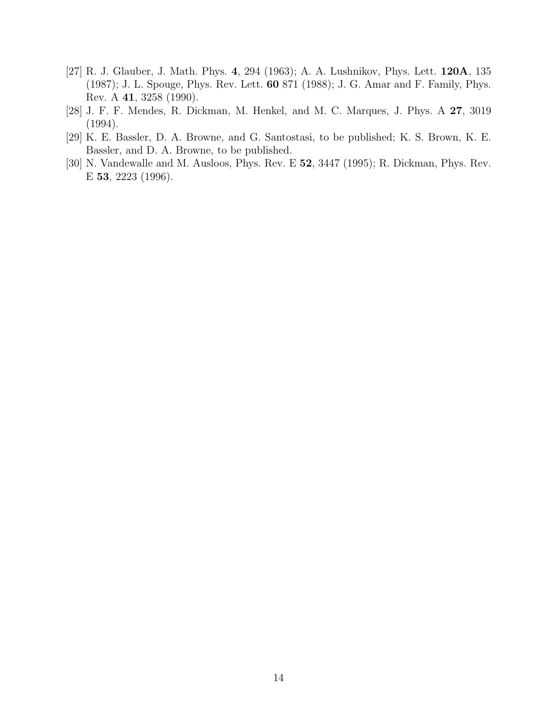- <span id="page-14-0"></span>[27] R. J. Glauber, J. Math. Phys. 4, 294 (1963); A. A. Lushnikov, Phys. Lett. 120A, 135 (1987); J. L. Spouge, Phys. Rev. Lett. 60 871 (1988); J. G. Amar and F. Family, Phys. Rev. A 41, 3258 (1990).
- [28] J. F. F. Mendes, R. Dickman, M. Henkel, and M. C. Marques, J. Phys. A 27, 3019 (1994).
- [29] K. E. Bassler, D. A. Browne, and G. Santostasi, to be published; K. S. Brown, K. E. Bassler, and D. A. Browne, to be published.
- [30] N. Vandewalle and M. Ausloos, Phys. Rev. E 52, 3447 (1995); R. Dickman, Phys. Rev. E 53, 2223 (1996).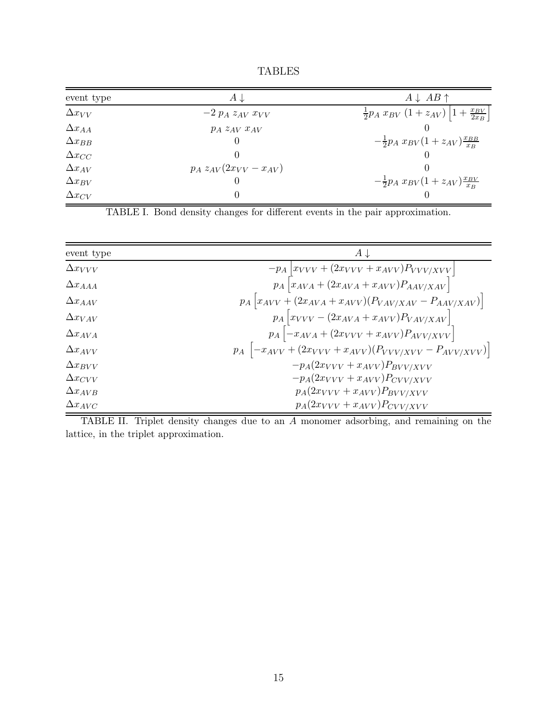TABLES

| event type      | $A \downarrow$                 | $A \downarrow AB \uparrow$                                      |
|-----------------|--------------------------------|-----------------------------------------------------------------|
| $\Delta x_{VV}$ | $-2 p_A z_{AV} x_{VV}$         | $\frac{1}{2}p_A x_{BV} (1 + z_{AV})   1 + \frac{x_{BV}}{2x_B} $ |
| $\Delta x_{AA}$ | $p_A z_{AV} x_{AV}$            |                                                                 |
| $\Delta x_{BB}$ | U                              | $-\frac{1}{2}p_A x_{BV}(1+z_{AV})\frac{x_{BB}}{x_B}$            |
| $\Delta x_{CC}$ |                                |                                                                 |
| $\Delta x_{AV}$ | $p_A z_{AV}(2x_{VV} - x_{AV})$ |                                                                 |
| $\Delta x_{BV}$ | O                              | $-\frac{1}{2}p_A x_{BV}(1+z_{AV})\frac{x_{BV}}{x_B}$            |
| $\Delta x_{CV}$ | 0                              |                                                                 |

TABLE I. Bond density changes for different events in the pair approximation.

| event type       | $A \downarrow$                                                                                                                      |
|------------------|-------------------------------------------------------------------------------------------------------------------------------------|
| $\Delta x_{VVV}$ |                                                                                                                                     |
| $\Delta x_{AAA}$ | $-p_A \left[ x_{VVV} + (2x_{VVV} + x_{AVV}) P_{VVV/XVV} \right]$<br>$p_A \left[ x_{AVA} + (2x_{AVA} + x_{AVV}) P_{AAV/XAV} \right]$ |
| $\Delta x_{AAV}$ | $p_A\left[x_{AVV}+(2x_{AVA}+x_{AVV})(P_{VAV/XAV}-P_{AAV/XAV})\right]$                                                               |
| $\Delta x_{VAV}$ | $p_A  x_{VVV} - (2x_{AVA} + x_{AVV})P_{VAV/XAV} $                                                                                   |
| $\Delta x_{AVA}$ | $p_A$ $\big  -x_{AVA} + (2x_{VVV} + x_{AVV}) P_{AVV/XVV} \big $                                                                     |
| $\Delta x_{AVV}$ | $p_A$ $\left -x_{AVV} + (2x_{VVV} + x_{AVV})(P_{VVV/XVV} - P_{AVV/XVV})\right $                                                     |
| $\Delta x_{BVV}$ | $-p_A(2x_{VVV}+x_{AVV})P_{BVV/XVV}$                                                                                                 |
| $\Delta x_{CVV}$ | $-p_A(2x_{VVV}+x_{AVV})P_{CVV/XVV}$                                                                                                 |
| $\Delta x_{AVB}$ | $p_A(2x_{VVV}+x_{AVV})P_{BVV/XVV}$                                                                                                  |
| $\Delta x_{AVC}$ | $p_A(2x_{VVV}+x_{AVV})P_{CVV/XVV}$                                                                                                  |

TABLE II. Triplet density changes due to an A monomer adsorbing, and remaining on the lattice, in the triplet approximation.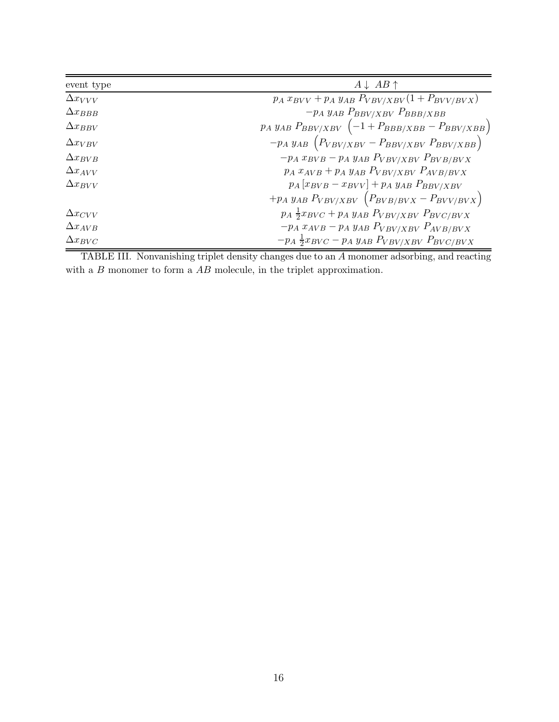| event type       | $A \downarrow AB \uparrow$                                        |
|------------------|-------------------------------------------------------------------|
| $\Delta x_{VVV}$ | $p_A x_{BVV} + p_A y_{AB} P_{VBV/XBV}(1 + P_{BVV/BVX})$           |
| $\Delta x_{BBB}$ | $-p_A y_{AB} P_{BBV/XBV} P_{BBB/XBB}$                             |
| $\Delta x_{BBV}$ | $p_A$ yab $P_{BBV/XBV}$ $\left(-1+P_{BBB/XBB}-P_{BBV/XBB}\right)$ |
| $\Delta x_{VBV}$ | $-p_A y_{AB} (P_{VBV/XBV} - P_{BBV/XBV} P_{BBV/XBB})$             |
| $\Delta x_{BVB}$ | $-p_A x_{BVB} - p_A y_{AB} P_{VBV/XBV} P_{BVB/BVX}$               |
| $\Delta x_{AVV}$ | $p_A x_{AVB} + p_A y_{AB} P_{VBV/XBV} P_{AVB/BVX}$                |
| $\Delta x_{BVV}$ | $p_A [x_{BVB} - x_{BVV}] + p_A y_{AB} P_{BBV/XBV}$                |
|                  | $+p_A y_{AB} P_{VBV/XBV}$ $(P_{BVB/BVX} - P_{BVV/BVX})$           |
| $\Delta x_{CVV}$ | $p_A \frac{1}{2} x_{BVC} + p_A y_{AB} P_{VBV/XBV} P_{BVC/BVX}$    |
| $\Delta x_{AVB}$ | $-p_A x_{AVB} - p_A y_{AB} P_{VBV/XBV} P_{AVB/BVX}$               |
| $\Delta x_{BVC}$ | $-p_A \frac{1}{2}x_{BVC} - p_A y_{AB} P_{VBV/XBV} P_{BVC/BVX}$    |

TABLE III. Nonvanishing triplet density changes due to an A monomer adsorbing, and reacting with a  $B$  monomer to form a  $AB$  molecule, in the triplet approximation.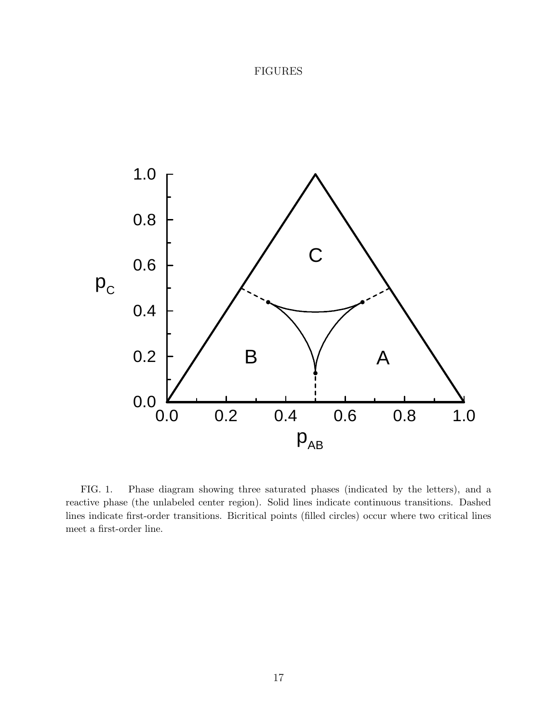## FIGURES

<span id="page-17-0"></span>

FIG. 1. Phase diagram showing three saturated phases (indicated by the letters), and a reactive phase (the unlabeled center region). Solid lines indicate continuous transitions. Dashed lines indicate first-order transitions. Bicritical points (filled circles) occur where two critical lines meet a first-order line.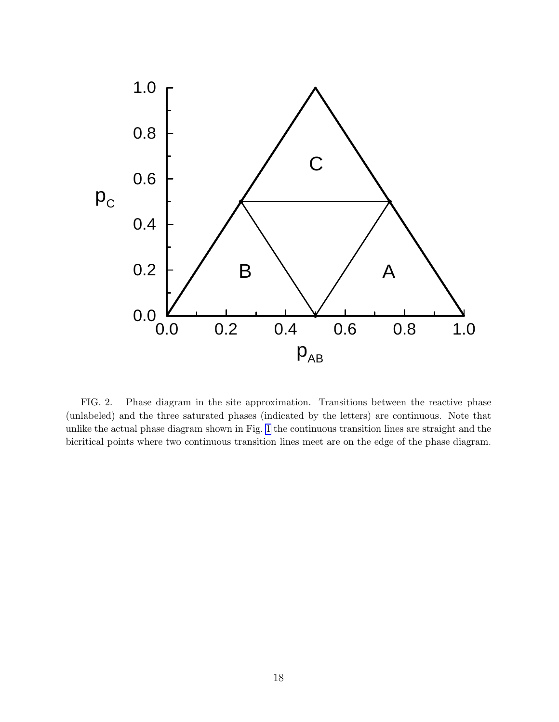<span id="page-18-0"></span>

FIG. 2. Phase diagram in the site approximation. Transitions between the reactive phase (unlabeled) and the three saturated phases (indicated by the letters) are continuous. Note that unlike the actual phase diagram shown in Fig. [1](#page-17-0) the continuous transition lines are straight and the bicritical points where two continuous transition lines meet are on the edge of the phase diagram.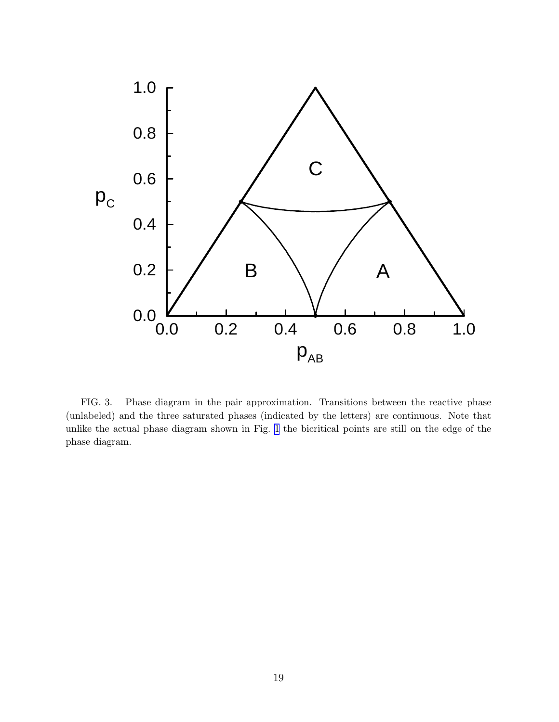<span id="page-19-0"></span>

FIG. 3. Phase diagram in the pair approximation. Transitions between the reactive phase (unlabeled) and the three saturated phases (indicated by the letters) are continuous. Note that unlike the actual phase diagram shown in Fig. [1](#page-17-0) the bicritical points are still on the edge of the phase diagram.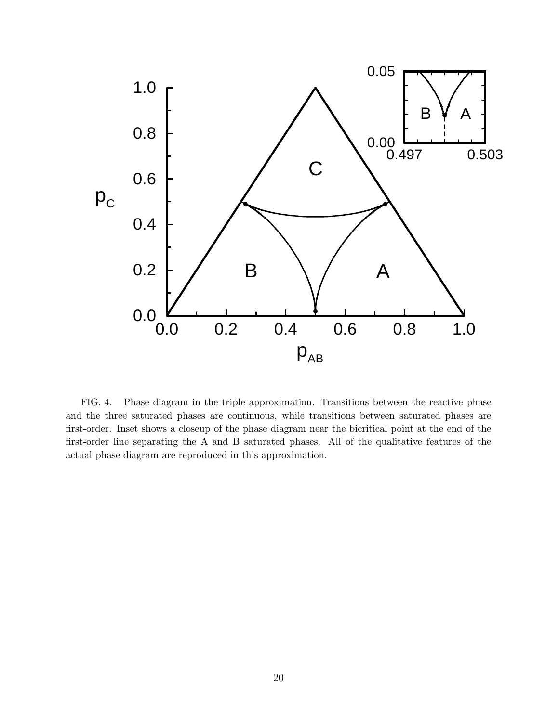<span id="page-20-0"></span>

FIG. 4. Phase diagram in the triple approximation. Transitions between the reactive phase and the three saturated phases are continuous, while transitions between saturated phases are first-order. Inset shows a closeup of the phase diagram near the bicritical point at the end of the first-order line separating the A and B saturated phases. All of the qualitative features of the actual phase diagram are reproduced in this approximation.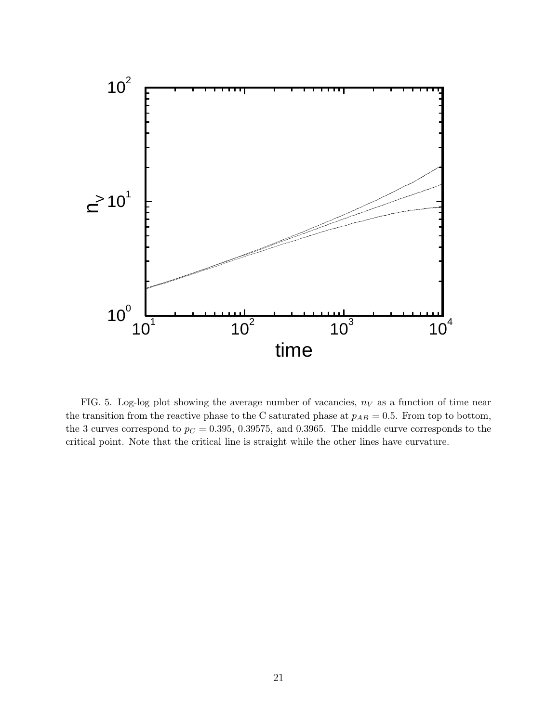<span id="page-21-0"></span>

FIG. 5. Log-log plot showing the average number of vacancies,  $n_V$  as a function of time near the transition from the reactive phase to the C saturated phase at  $p_{AB} = 0.5$ . From top to bottom, the 3 curves correspond to  $p_C = 0.395, 0.39575,$  and 0.3965. The middle curve corresponds to the critical point. Note that the critical line is straight while the other lines have curvature.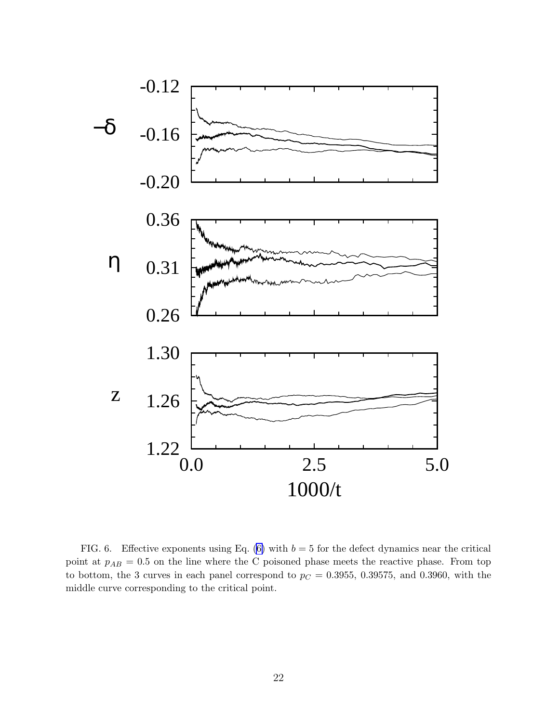<span id="page-22-0"></span>

FIG. 6. Effective exponents using Eq. [\(6\)](#page-8-0) with  $b = 5$  for the defect dynamics near the critical point at  $p_{AB} = 0.5$  on the line where the C poisoned phase meets the reactive phase. From top to bottom, the 3 curves in each panel correspond to  $p<sub>C</sub> = 0.3955, 0.39575,$  and 0.3960, with the middle curve corresponding to the critical point.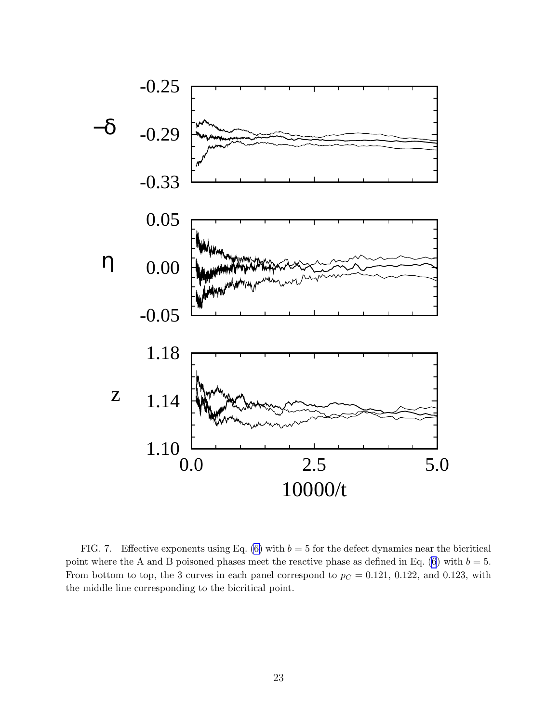<span id="page-23-0"></span>

FIG. 7. Effective exponents using Eq. [\(6\)](#page-8-0) with  $b = 5$  for the defect dynamics near the bicritical point where the A and B poisoned phases meet the reactive phase as defined in Eq. [\(6](#page-8-0)) with  $b = 5$ . From bottom to top, the 3 curves in each panel correspond to  $p_C = 0.121, 0.122,$  and 0.123, with the middle line corresponding to the bicritical point.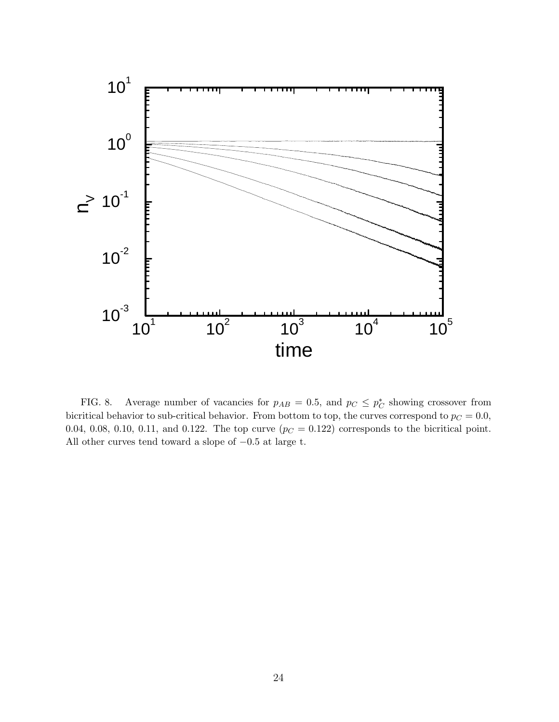<span id="page-24-0"></span>

FIG. 8. Average number of vacancies for  $p_{AB} = 0.5$ , and  $p_C \leq p_C^*$  $_{C}^{*}$  showing crossover from bicritical behavior to sub-critical behavior. From bottom to top, the curves correspond to  $p_C = 0.0$ , 0.04, 0.08, 0.10, 0.11, and 0.122. The top curve  $(p_C = 0.122)$  corresponds to the bicritical point. All other curves tend toward a slope of −0.5 at large t.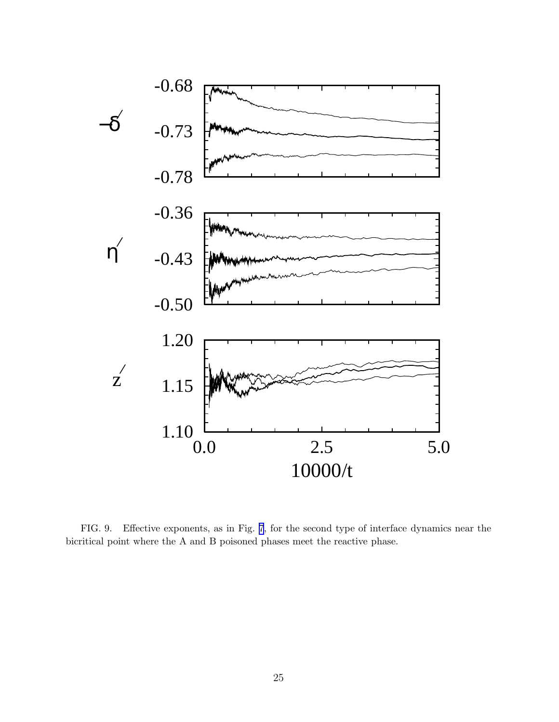<span id="page-25-0"></span>

FIG. 9. Effective exponents, as in Fig. [7](#page-23-0), for the second type of interface dynamics near the bicritical point where the A and B poisoned phases meet the reactive phase.